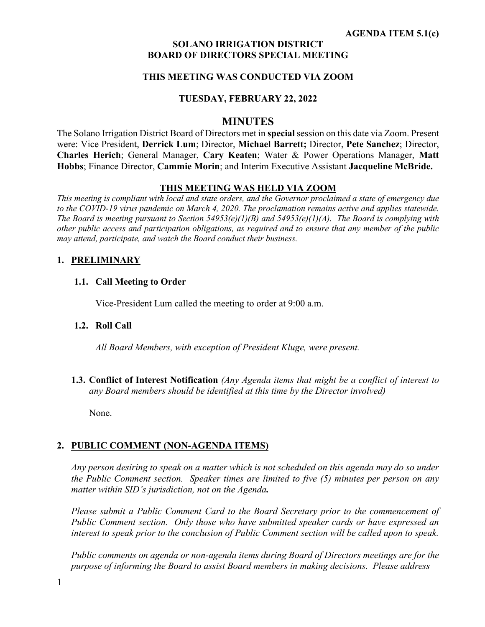#### **SOLANO IRRIGATION DISTRICT BOARD OF DIRECTORS SPECIAL MEETING**

## **THIS MEETING WAS CONDUCTED VIA ZOOM**

#### **TUESDAY, FEBRUARY 22, 2022**

## **MINUTES**

The Solano Irrigation District Board of Directors met in **special**session on this date via Zoom. Present were: Vice President, **Derrick Lum**; Director, **Michael Barrett;** Director, **Pete Sanchez**; Director, **Charles Herich**; General Manager, **Cary Keaten**; Water & Power Operations Manager, **Matt Hobbs**; Finance Director, **Cammie Morin**; and Interim Executive Assistant **Jacqueline McBride.**

#### **THIS MEETING WAS HELD VIA ZOOM**

*This meeting is compliant with local and state orders, and the Governor proclaimed a state of emergency due to the COVID-19 virus pandemic on March 4, 2020. The proclamation remains active and applies statewide. The Board is meeting pursuant to Section 54953(e)(1)(B) and 54953(e)(1)(A). The Board is complying with other public access and participation obligations, as required and to ensure that any member of the public may attend, participate, and watch the Board conduct their business.* 

#### **1. PRELIMINARY**

#### **1.1. Call Meeting to Order**

Vice-President Lum called the meeting to order at 9:00 a.m.

#### **1.2. Roll Call**

*All Board Members, with exception of President Kluge, were present.*

**1.3. Conflict of Interest Notification** *(Any Agenda items that might be a conflict of interest to any Board members should be identified at this time by the Director involved)*

None.

## **2. PUBLIC COMMENT (NON-AGENDA ITEMS)**

*Any person desiring to speak on a matter which is not scheduled on this agenda may do so under the Public Comment section. Speaker times are limited to five (5) minutes per person on any matter within SID's jurisdiction, not on the Agenda.*

*Please submit a Public Comment Card to the Board Secretary prior to the commencement of Public Comment section. Only those who have submitted speaker cards or have expressed an interest to speak prior to the conclusion of Public Comment section will be called upon to speak.* 

*Public comments on agenda or non-agenda items during Board of Directors meetings are for the purpose of informing the Board to assist Board members in making decisions. Please address*